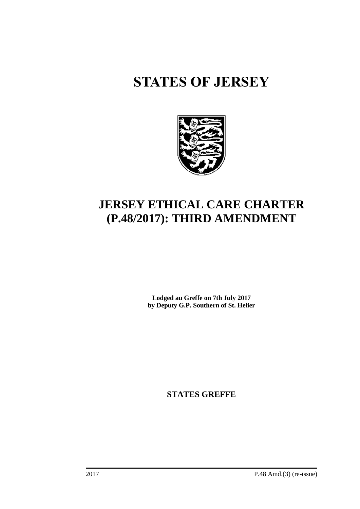# **STATES OF JERSEY**



# **JERSEY ETHICAL CARE CHARTER (P.48/2017): THIRD AMENDMENT**

**Lodged au Greffe on 7th July 2017 by Deputy G.P. Southern of St. Helier**

**STATES GREFFE**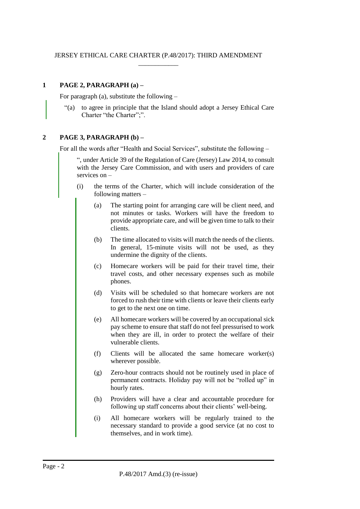# **1 PAGE 2, PARAGRAPH (a) –**

For paragraph (a), substitute the following –

"(a) to agree in principle that the Island should adopt a Jersey Ethical Care Charter "the Charter";".

## **2 PAGE 3, PARAGRAPH (b) –**

For all the words after "Health and Social Services", substitute the following –

", under Article 39 of the Regulation of Care (Jersey) Law 2014, to consult with the Jersey Care Commission, and with users and providers of care services on –

- (i) the terms of the Charter, which will include consideration of the following matters –
	- (a) The starting point for arranging care will be client need, and not minutes or tasks. Workers will have the freedom to provide appropriate care, and will be given time to talk to their clients.
	- (b) The time allocated to visits will match the needs of the clients. In general, 15-minute visits will not be used, as they undermine the dignity of the clients.
	- (c) Homecare workers will be paid for their travel time, their travel costs, and other necessary expenses such as mobile phones.
	- (d) Visits will be scheduled so that homecare workers are not forced to rush their time with clients or leave their clients early to get to the next one on time.
	- (e) All homecare workers will be covered by an occupational sick pay scheme to ensure that staff do not feel pressurised to work when they are ill, in order to protect the welfare of their vulnerable clients.
	- (f) Clients will be allocated the same homecare worker(s) wherever possible.
	- (g) Zero-hour contracts should not be routinely used in place of permanent contracts. Holiday pay will not be "rolled up" in hourly rates.
	- (h) Providers will have a clear and accountable procedure for following up staff concerns about their clients' well-being.
	- (i) All homecare workers will be regularly trained to the necessary standard to provide a good service (at no cost to themselves, and in work time).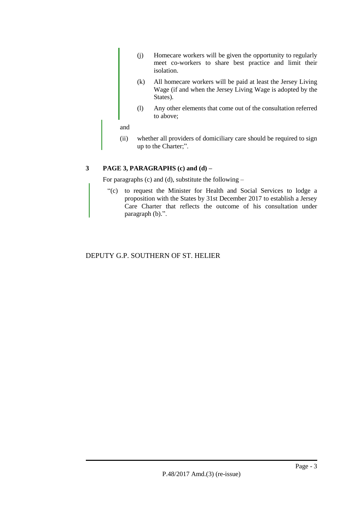- (j) Homecare workers will be given the opportunity to regularly meet co-workers to share best practice and limit their isolation.
- (k) All homecare workers will be paid at least the Jersey Living Wage (if and when the Jersey Living Wage is adopted by the States).
- (l) Any other elements that come out of the consultation referred to above;

and

(ii) whether all providers of domiciliary care should be required to sign up to the Charter;".

# **3 PAGE 3, PARAGRAPHS (c) and (d) –**

For paragraphs (c) and (d), substitute the following –

"(c) to request the Minister for Health and Social Services to lodge a proposition with the States by 31st December 2017 to establish a Jersey Care Charter that reflects the outcome of his consultation under paragraph (b).".

# DEPUTY G.P. SOUTHERN OF ST. HELIER